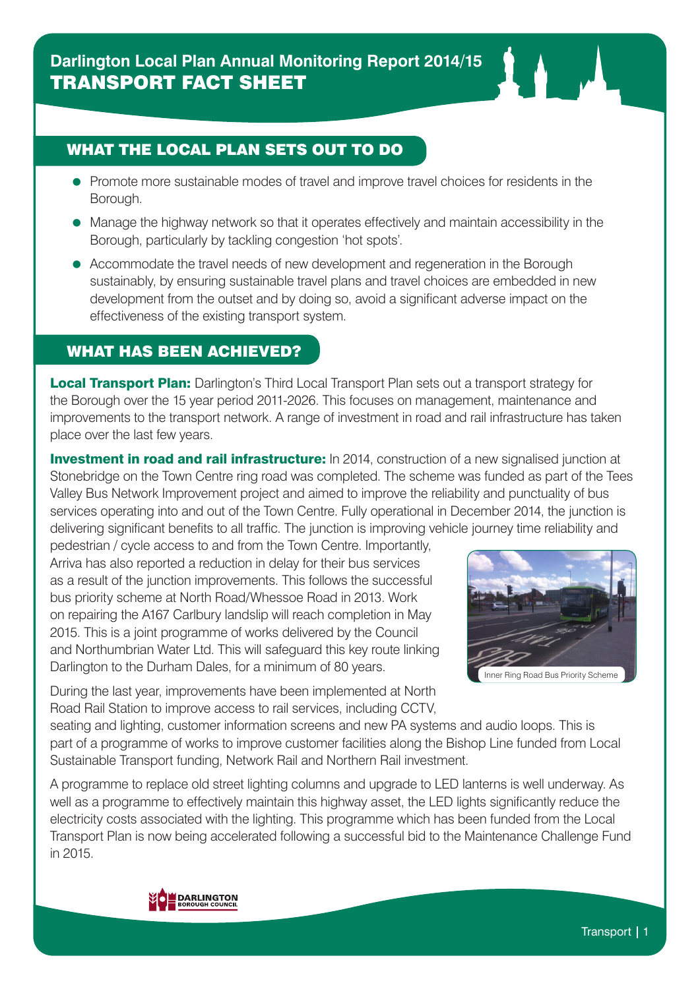## WHAT THE LOCAL PLAN SETS OUT TO DO

- Promote more sustainable modes of travel and improve travel choices for residents in the Borough.
- Manage the highway network so that it operates effectively and maintain accessibility in the Borough, particularly by tackling congestion 'hot spots'.
- Accommodate the travel needs of new development and regeneration in the Borough sustainably, by ensuring sustainable travel plans and travel choices are embedded in new development from the outset and by doing so, avoid a significant adverse impact on the effectiveness of the existing transport system.

## WHAT HAS BEEN ACHIEVED?

**Local Transport Plan:** Darlington's Third Local Transport Plan sets out a transport strategy for the Borough over the 15 year period 2011-2026. This focuses on management, maintenance and improvements to the transport network. A range of investment in road and rail infrastructure has taken place over the last few years.

**Investment in road and rail infrastructure:** In 2014, construction of a new signalised junction at Stonebridge on the Town Centre ring road was completed. The scheme was funded as part of the Tees Valley Bus Network Improvement project and aimed to improve the reliability and punctuality of bus services operating into and out of the Town Centre. Fully operational in December 2014, the junction is delivering significant benefits to all traffic. The junction is improving vehicle journey time reliability and

pedestrian / cycle access to and from the Town Centre. Importantly, Arriva has also reported a reduction in delay for their bus services as a result of the junction improvements. This follows the successful bus priority scheme at North Road/Whessoe Road in 2013. Work on repairing the A167 Carlbury landslip will reach completion in May 2015. This is a joint programme of works delivered by the Council and Northumbrian Water Ltd. This will safeguard this key route linking Darlington to the Durham Dales, for a minimum of 80 years.

During the last year, improvements have been implemented at North Road Rail Station to improve access to rail services, including CCTV,



seating and lighting, customer information screens and new PA systems and audio loops. This is part of a programme of works to improve customer facilities along the Bishop Line funded from Local Sustainable Transport funding, Network Rail and Northern Rail investment.

A programme to replace old street lighting columns and upgrade to LED lanterns is well underway. As well as a programme to effectively maintain this highway asset, the LED lights significantly reduce the electricity costs associated with the lighting. This programme which has been funded from the Local Transport Plan is now being accelerated following a successful bid to the Maintenance Challenge Fund in 2015.

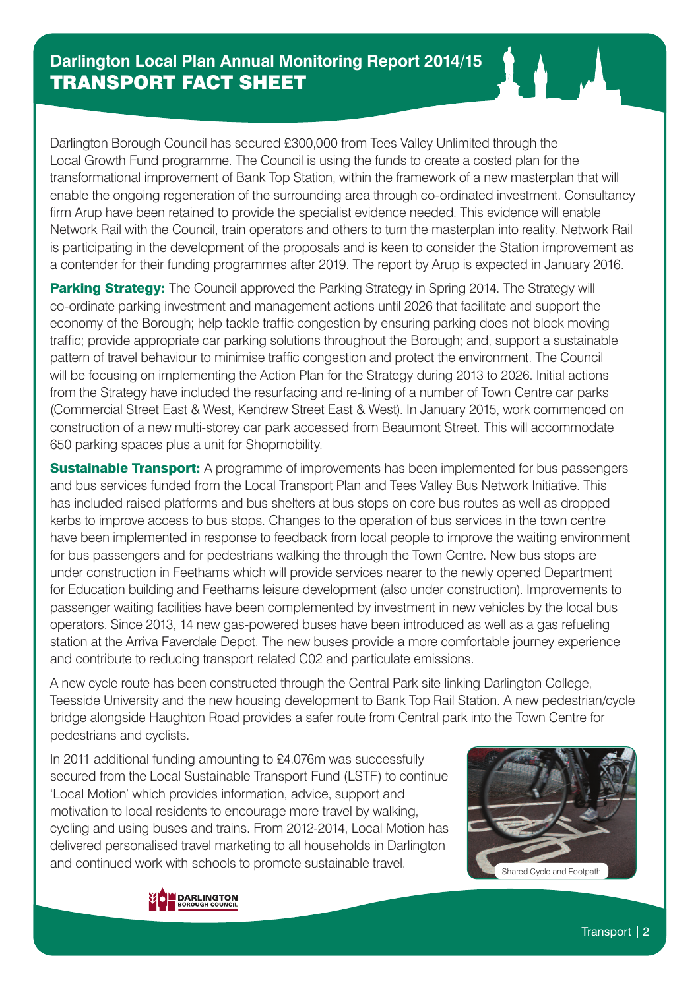Darlington Borough Council has secured £300,000 from Tees Valley Unlimited through the Local Growth Fund programme. The Council is using the funds to create a costed plan for the transformational improvement of Bank Top Station, within the framework of a new masterplan that will enable the ongoing regeneration of the surrounding area through co-ordinated investment. Consultancy firm Arup have been retained to provide the specialist evidence needed. This evidence will enable Network Rail with the Council, train operators and others to turn the masterplan into reality. Network Rail is participating in the development of the proposals and is keen to consider the Station improvement as a contender for their funding programmes after 2019. The report by Arup is expected in January 2016.

Parking Strategy: The Council approved the Parking Strategy in Spring 2014. The Strategy will co-ordinate parking investment and management actions until 2026 that facilitate and support the economy of the Borough; help tackle traffic congestion by ensuring parking does not block moving traffic; provide appropriate car parking solutions throughout the Borough; and, support a sustainable pattern of travel behaviour to minimise traffic congestion and protect the environment. The Council will be focusing on implementing the Action Plan for the Strategy during 2013 to 2026. Initial actions from the Strategy have included the resurfacing and re-lining of a number of Town Centre car parks (Commercial Street East & West, Kendrew Street East & West). In January 2015, work commenced on construction of a new multi-storey car park accessed from Beaumont Street. This will accommodate 650 parking spaces plus a unit for Shopmobility.

**Sustainable Transport:** A programme of improvements has been implemented for bus passengers and bus services funded from the Local Transport Plan and Tees Valley Bus Network Initiative. This has included raised platforms and bus shelters at bus stops on core bus routes as well as dropped kerbs to improve access to bus stops. Changes to the operation of bus services in the town centre have been implemented in response to feedback from local people to improve the waiting environment for bus passengers and for pedestrians walking the through the Town Centre. New bus stops are under construction in Feethams which will provide services nearer to the newly opened Department for Education building and Feethams leisure development (also under construction). Improvements to passenger waiting facilities have been complemented by investment in new vehicles by the local bus operators. Since 2013, 14 new gas-powered buses have been introduced as well as a gas refueling station at the Arriva Faverdale Depot. The new buses provide a more comfortable journey experience and contribute to reducing transport related C02 and particulate emissions.

A new cycle route has been constructed through the Central Park site linking Darlington College, Teesside University and the new housing development to Bank Top Rail Station. A new pedestrian/cycle bridge alongside Haughton Road provides a safer route from Central park into the Town Centre for pedestrians and cyclists.

In 2011 additional funding amounting to £4.076m was successfully secured from the Local Sustainable Transport Fund (LSTF) to continue 'Local Motion' which provides information, advice, support and motivation to local residents to encourage more travel by walking, cycling and using buses and trains. From 2012-2014, Local Motion has delivered personalised travel marketing to all households in Darlington and continued work with schools to promote sustainable travel.



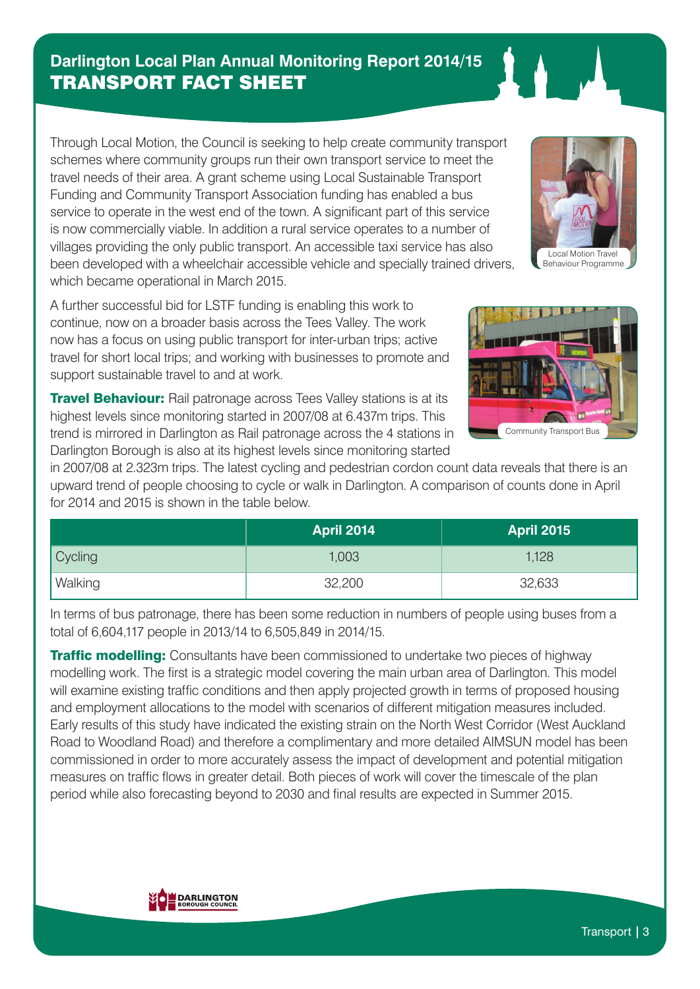# **Darlington Local Plan Annual Monitoring Report 2014/15** TRANSPORT FACT SHEET

Through Local Motion, the Council is seeking to help create community transport schemes where community groups run their own transport service to meet the travel needs of their area. A grant scheme using Local Sustainable Transport Funding and Community Transport Association funding has enabled a bus service to operate in the west end of the town. A significant part of this service is now commercially viable. In addition a rural service operates to a number of villages providing the only public transport. An accessible taxi service has also been developed with a wheelchair accessible vehicle and specially trained drivers, which became operational in March 2015.

A further successful bid for LSTF funding is enabling this work to continue, now on a broader basis across the Tees Valley. The work now has a focus on using public transport for inter-urban trips; active travel for short local trips; and working with businesses to promote and support sustainable travel to and at work.

**Travel Behaviour:** Rail patronage across Tees Valley stations is at its highest levels since monitoring started in 2007/08 at 6.437m trips. This trend is mirrored in Darlington as Rail patronage across the 4 stations in Darlington Borough is also at its highest levels since monitoring started

in 2007/08 at 2.323m trips. The latest cycling and pedestrian cordon count data reveals that there is an upward trend of people choosing to cycle or walk in Darlington. A comparison of counts done in April for 2014 and 2015 is shown in the table below.

|                | <b>April 2014</b> | <b>April 2015</b> |
|----------------|-------------------|-------------------|
| Cycling        | 1,003             | 1,128             |
| <b>Walking</b> | 32,200            | 32,633            |

In terms of bus patronage, there has been some reduction in numbers of people using buses from a total of 6,604,117 people in 2013/14 to 6,505,849 in 2014/15.

**Traffic modelling:** Consultants have been commissioned to undertake two pieces of highway modelling work. The first is a strategic model covering the main urban area of Darlington. This model will examine existing traffic conditions and then apply projected growth in terms of proposed housing and employment allocations to the model with scenarios of different mitigation measures included. Early results of this study have indicated the existing strain on the North West Corridor (West Auckland Road to Woodland Road) and therefore a complimentary and more detailed AIMSUN model has been commissioned in order to more accurately assess the impact of development and potential mitigation measures on traffic flows in greater detail. Both pieces of work will cover the timescale of the plan period while also forecasting beyond to 2030 and final results are expected in Summer 2015.





Local Motion Travel Behaviour Programme